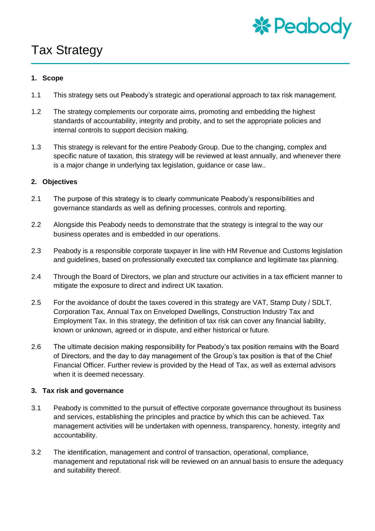

# Tax Strategy

#### **1. Scope**

- 1.1 This strategy sets out Peabody's strategic and operational approach to tax risk management.
- 1.2 The strategy complements our corporate aims, promoting and embedding the highest standards of accountability, integrity and probity, and to set the appropriate policies and internal controls to support decision making.
- 1.3 This strategy is relevant for the entire Peabody Group. Due to the changing, complex and specific nature of taxation, this strategy will be reviewed at least annually, and whenever there is a major change in underlying tax legislation, guidance or case law..

#### **2. Objectives**

- 2.1 The purpose of this strategy is to clearly communicate Peabody's responsibilities and governance standards as well as defining processes, controls and reporting.
- 2.2 Alongside this Peabody needs to demonstrate that the strategy is integral to the way our business operates and is embedded in our operations.
- 2.3 Peabody is a responsible corporate taxpayer in line with HM Revenue and Customs legislation and guidelines, based on professionally executed tax compliance and legitimate tax planning.
- 2.4 Through the Board of Directors, we plan and structure our activities in a tax efficient manner to mitigate the exposure to direct and indirect UK taxation.
- 2.5 For the avoidance of doubt the taxes covered in this strategy are VAT, Stamp Duty / SDLT, Corporation Tax, Annual Tax on Enveloped Dwellings, Construction Industry Tax and Employment Tax. In this strategy, the definition of tax risk can cover any financial liability, known or unknown, agreed or in dispute, and either historical or future.
- 2.6 The ultimate decision making responsibility for Peabody's tax position remains with the Board of Directors, and the day to day management of the Group's tax position is that of the Chief Financial Officer. Further review is provided by the Head of Tax, as well as external advisors when it is deemed necessary.

#### **3. Tax risk and governance**

- 3.1 Peabody is committed to the pursuit of effective corporate governance throughout its business and services, establishing the principles and practice by which this can be achieved. Tax management activities will be undertaken with openness, transparency, honesty, integrity and accountability.
- 3.2 The identification, management and control of transaction, operational, compliance, management and reputational risk will be reviewed on an annual basis to ensure the adequacy and suitability thereof.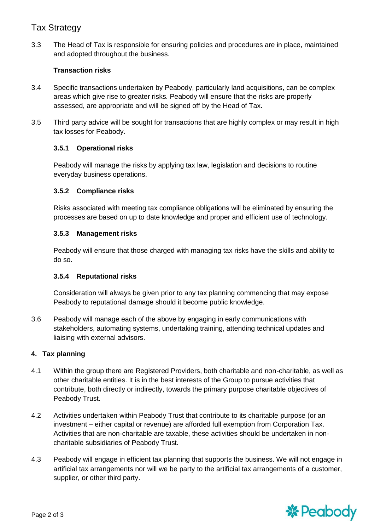# Tax Strategy

3.3 The Head of Tax is responsible for ensuring policies and procedures are in place, maintained and adopted throughout the business.

## **Transaction risks**

- 3.4 Specific transactions undertaken by Peabody, particularly land acquisitions, can be complex areas which give rise to greater risks. Peabody will ensure that the risks are properly assessed, are appropriate and will be signed off by the Head of Tax.
- 3.5 Third party advice will be sought for transactions that are highly complex or may result in high tax losses for Peabody.

#### **3.5.1 Operational risks**

Peabody will manage the risks by applying tax law, legislation and decisions to routine everyday business operations.

#### **3.5.2 Compliance risks**

Risks associated with meeting tax compliance obligations will be eliminated by ensuring the processes are based on up to date knowledge and proper and efficient use of technology.

#### **3.5.3 Management risks**

Peabody will ensure that those charged with managing tax risks have the skills and ability to do so.

#### **3.5.4 Reputational risks**

Consideration will always be given prior to any tax planning commencing that may expose Peabody to reputational damage should it become public knowledge.

3.6 Peabody will manage each of the above by engaging in early communications with stakeholders, automating systems, undertaking training, attending technical updates and liaising with external advisors.

## **4. Tax planning**

- 4.1 Within the group there are Registered Providers, both charitable and non-charitable, as well as other charitable entities. It is in the best interests of the Group to pursue activities that contribute, both directly or indirectly, towards the primary purpose charitable objectives of Peabody Trust.
- 4.2 Activities undertaken within Peabody Trust that contribute to its charitable purpose (or an investment – either capital or revenue) are afforded full exemption from Corporation Tax. Activities that are non-charitable are taxable, these activities should be undertaken in noncharitable subsidiaries of Peabody Trust.
- 4.3 Peabody will engage in efficient tax planning that supports the business. We will not engage in artificial tax arrangements nor will we be party to the artificial tax arrangements of a customer, supplier, or other third party.